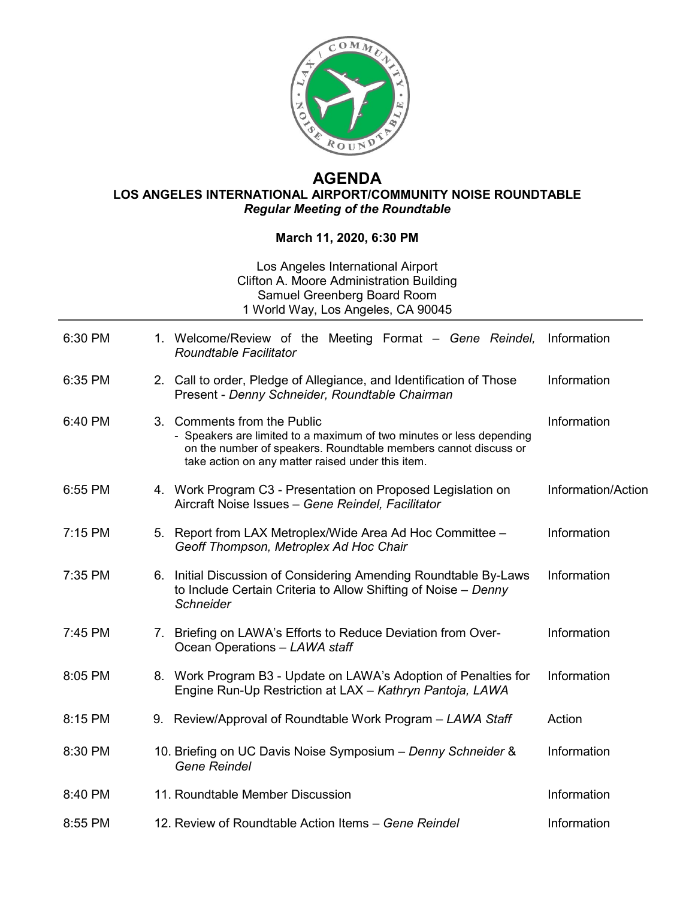

## **AGENDA LOS ANGELES INTERNATIONAL AIRPORT/COMMUNITY NOISE ROUNDTABLE** *Regular Meeting of the Roundtable*

## **March 11, 2020, 6:30 PM**

## Los Angeles International Airport Clifton A. Moore Administration Building Samuel Greenberg Board Room 1 World Way, Los Angeles, CA 90045

| 6:30 PM |    | 1. Welcome/Review of the Meeting Format – Gene Reindel,<br><b>Roundtable Facilitator</b>                                                                                                                                    | Information        |
|---------|----|-----------------------------------------------------------------------------------------------------------------------------------------------------------------------------------------------------------------------------|--------------------|
| 6:35 PM |    | 2. Call to order, Pledge of Allegiance, and Identification of Those<br>Present - Denny Schneider, Roundtable Chairman                                                                                                       | Information        |
| 6:40 PM |    | 3. Comments from the Public<br>- Speakers are limited to a maximum of two minutes or less depending<br>on the number of speakers. Roundtable members cannot discuss or<br>take action on any matter raised under this item. | Information        |
| 6:55 PM |    | 4. Work Program C3 - Presentation on Proposed Legislation on<br>Aircraft Noise Issues - Gene Reindel, Facilitator                                                                                                           | Information/Action |
| 7:15 PM |    | 5. Report from LAX Metroplex/Wide Area Ad Hoc Committee -<br>Geoff Thompson, Metroplex Ad Hoc Chair                                                                                                                         | Information        |
| 7:35 PM | 6. | Initial Discussion of Considering Amending Roundtable By-Laws<br>to Include Certain Criteria to Allow Shifting of Noise - Denny<br><b>Schneider</b>                                                                         | Information        |
| 7:45 PM |    | 7. Briefing on LAWA's Efforts to Reduce Deviation from Over-<br>Ocean Operations - LAWA staff                                                                                                                               | Information        |
| 8:05 PM |    | 8. Work Program B3 - Update on LAWA's Adoption of Penalties for<br>Engine Run-Up Restriction at LAX - Kathryn Pantoja, LAWA                                                                                                 | Information        |
| 8:15 PM |    | 9. Review/Approval of Roundtable Work Program - LAWA Staff                                                                                                                                                                  | Action             |
| 8:30 PM |    | 10. Briefing on UC Davis Noise Symposium - Denny Schneider &<br><b>Gene Reindel</b>                                                                                                                                         | Information        |
| 8:40 PM |    | 11. Roundtable Member Discussion                                                                                                                                                                                            | Information        |
| 8:55 PM |    | 12. Review of Roundtable Action Items - Gene Reindel                                                                                                                                                                        | Information        |